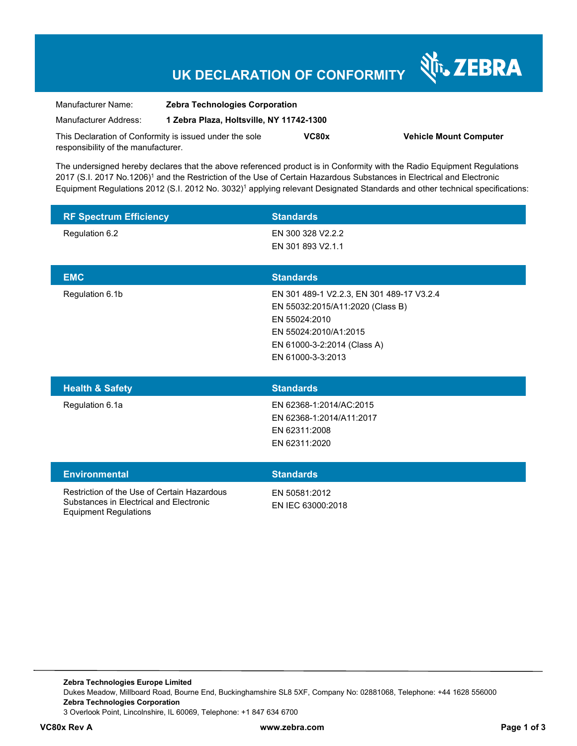# **UK DECLARATION OF CONFORMITY**

र्शे<sub>ं</sub> ZEBRA

| Manufacturer Name:                                      | <b>Zebra Technologies Corporation</b><br>1 Zebra Plaza, Holtsville, NY 11742-1300 |       |                               |
|---------------------------------------------------------|-----------------------------------------------------------------------------------|-------|-------------------------------|
| Manufacturer Address:                                   |                                                                                   |       |                               |
| This Declaration of Conformity is issued under the sole |                                                                                   | VC80x | <b>Vehicle Mount Computer</b> |
| responsibility of the manufacturer.                     |                                                                                   |       |                               |

The undersigned hereby declares that the above referenced product is in Conformity with the Radio Equipment Regulations 2017 (S.I. 2017 No.1206)<sup>1</sup> and the Restriction of the Use of Certain Hazardous Substances in Electrical and Electronic Equipment Regulations 2012 (S.I. 2012 No. 3032)<sup>1</sup> applying relevant Designated Standards and other technical specifications:

| <b>RF Spectrum Efficiency</b> | <b>Standards</b>                          |
|-------------------------------|-------------------------------------------|
| Regulation 6.2                | EN 300 328 V2.2.2                         |
|                               | EN 301 893 V2.1.1                         |
| <b>EMC</b>                    | <b>Standards</b>                          |
| Regulation 6.1b               | EN 301 489-1 V2.2.3, EN 301 489-17 V3.2.4 |
|                               | EN 55032:2015/A11:2020 (Class B)          |
|                               | EN 55024:2010                             |
|                               | EN 55024:2010/A1:2015                     |
|                               | EN 61000-3-2:2014 (Class A)               |
|                               | EN 61000-3-3:2013                         |
|                               |                                           |
| <b>Health &amp; Safety</b>    | <b>Standards</b>                          |
| Regulation 6.1a               | EN 62368-1:2014/AC:2015                   |
|                               | EN 62368-1:2014/A11:2017                  |
|                               | EN 62311:2008                             |
|                               | EN 62311:2020                             |

#### **Environmental Standards**

Restriction of the Use of Certain Hazardous Substances in Electrical and Electronic Equipment Regulations

EN 50581:2012

EN IEC 63000:2018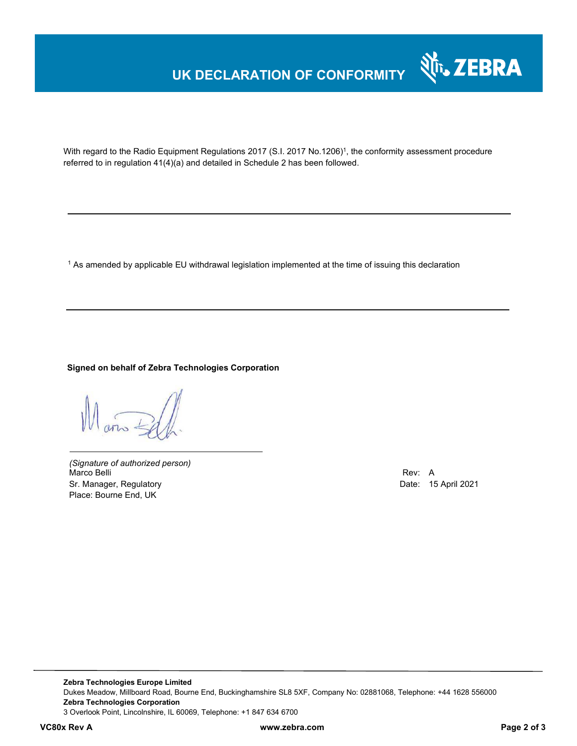# **UK DECLARATION OF CONFORMITY**



With regard to the Radio Equipment Regulations 2017 (S.I. 2017 No.1206)<sup>1</sup>, the conformity assessment procedure referred to in regulation 41(4)(a) and detailed in Schedule 2 has been followed.

 $^{\rm 1}$  As amended by applicable EU withdrawal legislation implemented at the time of issuing this declaration

## **Signed on behalf of Zebra Technologies Corporation**

 $\sin 4$ 

*(Signature of authorized person)* Marco Belli Rev: A Sr. Manager, Regulatory **Date: 15 April 2021** Place: Bourne End, UK